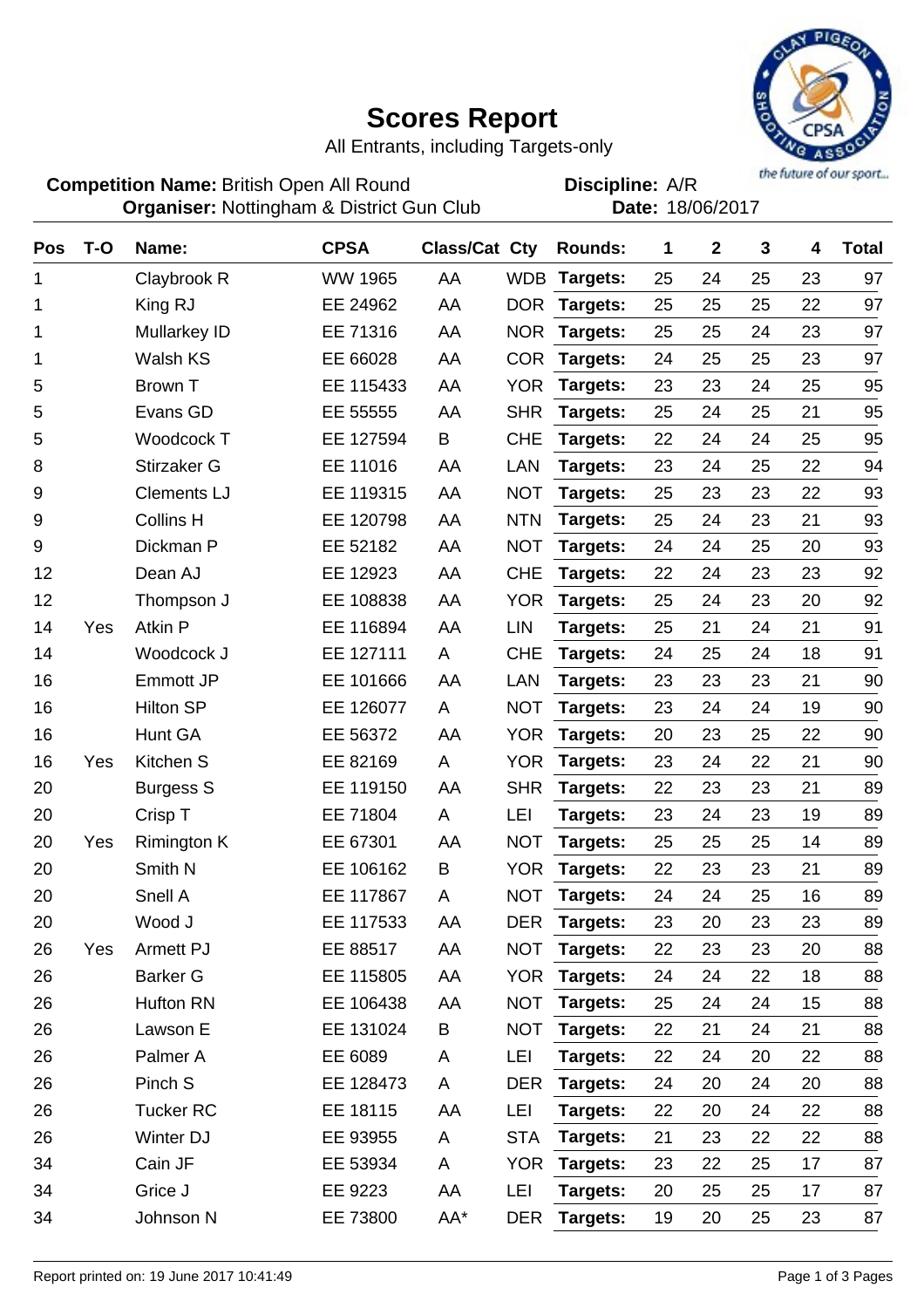## **Scores Report**



All Entrants, including Targets-only

**Competition Name:** British Open All Round **Competition Name:** A/R **Organiser:** Nottingham & District Gun Club **Date: 18/06/2017** 

**Discipline:**

| Pos | $T-O$ | Name:              | <b>CPSA</b>    | <b>Class/Cat Cty</b> |            | <b>Rounds:</b> | 1  | $\mathbf{2}$ | 3  | 4  | <b>Total</b> |
|-----|-------|--------------------|----------------|----------------------|------------|----------------|----|--------------|----|----|--------------|
| 1   |       | Claybrook R        | <b>WW 1965</b> | AA                   | <b>WDB</b> | Targets:       | 25 | 24           | 25 | 23 | 97           |
| 1   |       | King RJ            | EE 24962       | AA                   | <b>DOR</b> | Targets:       | 25 | 25           | 25 | 22 | 97           |
| 1   |       | Mullarkey ID       | EE 71316       | AA                   | <b>NOR</b> | Targets:       | 25 | 25           | 24 | 23 | 97           |
| 1   |       | Walsh KS           | EE 66028       | AA                   | <b>COR</b> | Targets:       | 24 | 25           | 25 | 23 | 97           |
| 5   |       | <b>Brown T</b>     | EE 115433      | AA                   | <b>YOR</b> | Targets:       | 23 | 23           | 24 | 25 | 95           |
| 5   |       | Evans GD           | EE 55555       | AA                   | <b>SHR</b> | Targets:       | 25 | 24           | 25 | 21 | 95           |
| 5   |       | Woodcock T         | EE 127594      | B                    | <b>CHE</b> | Targets:       | 22 | 24           | 24 | 25 | 95           |
| 8   |       | Stirzaker G        | EE 11016       | AA                   | <b>LAN</b> | Targets:       | 23 | 24           | 25 | 22 | 94           |
| 9   |       | <b>Clements LJ</b> | EE 119315      | AA                   | <b>NOT</b> | Targets:       | 25 | 23           | 23 | 22 | 93           |
| 9   |       | <b>Collins H</b>   | EE 120798      | AA                   | <b>NTN</b> | Targets:       | 25 | 24           | 23 | 21 | 93           |
| 9   |       | Dickman P          | EE 52182       | AA                   | <b>NOT</b> | Targets:       | 24 | 24           | 25 | 20 | 93           |
| 12  |       | Dean AJ            | EE 12923       | AA                   | <b>CHE</b> | Targets:       | 22 | 24           | 23 | 23 | 92           |
| 12  |       | Thompson J         | EE 108838      | AA                   | <b>YOR</b> | Targets:       | 25 | 24           | 23 | 20 | 92           |
| 14  | Yes   | <b>Atkin P</b>     | EE 116894      | AA                   | <b>LIN</b> | Targets:       | 25 | 21           | 24 | 21 | 91           |
| 14  |       | Woodcock J         | EE 127111      | A                    | <b>CHE</b> | Targets:       | 24 | 25           | 24 | 18 | 91           |
| 16  |       | <b>Emmott JP</b>   | EE 101666      | AA                   | <b>LAN</b> | Targets:       | 23 | 23           | 23 | 21 | 90           |
| 16  |       | <b>Hilton SP</b>   | EE 126077      | A                    | <b>NOT</b> | Targets:       | 23 | 24           | 24 | 19 | 90           |
| 16  |       | Hunt GA            | EE 56372       | AA                   | <b>YOR</b> | Targets:       | 20 | 23           | 25 | 22 | 90           |
| 16  | Yes   | Kitchen S          | EE 82169       | A                    | <b>YOR</b> | Targets:       | 23 | 24           | 22 | 21 | 90           |
| 20  |       | <b>Burgess S</b>   | EE 119150      | AA                   | <b>SHR</b> | Targets:       | 22 | 23           | 23 | 21 | 89           |
| 20  |       | Crisp T            | EE 71804       | A                    | LEI        | Targets:       | 23 | 24           | 23 | 19 | 89           |
| 20  | Yes   | <b>Rimington K</b> | EE 67301       | AA                   | <b>NOT</b> | Targets:       | 25 | 25           | 25 | 14 | 89           |
| 20  |       | Smith N            | EE 106162      | B                    | <b>YOR</b> | Targets:       | 22 | 23           | 23 | 21 | 89           |
| 20  |       | Snell A            | EE 117867      | A                    | <b>NOT</b> | Targets:       | 24 | 24           | 25 | 16 | 89           |
| 20  |       | Wood J             | EE 117533      | AA                   | <b>DER</b> | Targets:       | 23 | 20           | 23 | 23 | 89           |
| 26  | Yes   | Armett PJ          | EE 88517       | AA                   | <b>NOT</b> | Targets:       | 22 | 23           | 23 | 20 | 88           |
| 26  |       | <b>Barker G</b>    | EE 115805      | AA                   | <b>YOR</b> | Targets:       | 24 | 24           | 22 | 18 | 88           |
| 26  |       | Hufton RN          | EE 106438      | AA                   | <b>NOT</b> | Targets:       | 25 | 24           | 24 | 15 | 88           |
| 26  |       | Lawson E           | EE 131024      | B                    | <b>NOT</b> | Targets:       | 22 | 21           | 24 | 21 | 88           |
| 26  |       | Palmer A           | EE 6089        | A                    | LEI        | Targets:       | 22 | 24           | 20 | 22 | 88           |
| 26  |       | Pinch S            | EE 128473      | A                    | <b>DER</b> | Targets:       | 24 | 20           | 24 | 20 | 88           |
| 26  |       | <b>Tucker RC</b>   | EE 18115       | AA                   | LEI        | Targets:       | 22 | 20           | 24 | 22 | 88           |
| 26  |       | Winter DJ          | EE 93955       | A                    | <b>STA</b> | Targets:       | 21 | 23           | 22 | 22 | 88           |
| 34  |       | Cain JF            | EE 53934       | A                    | <b>YOR</b> | Targets:       | 23 | 22           | 25 | 17 | 87           |
| 34  |       | Grice J            | EE 9223        | AA                   | LEI        | Targets:       | 20 | 25           | 25 | 17 | 87           |
| 34  |       | Johnson N          | EE 73800       | AA*                  | <b>DER</b> | Targets:       | 19 | 20           | 25 | 23 | 87           |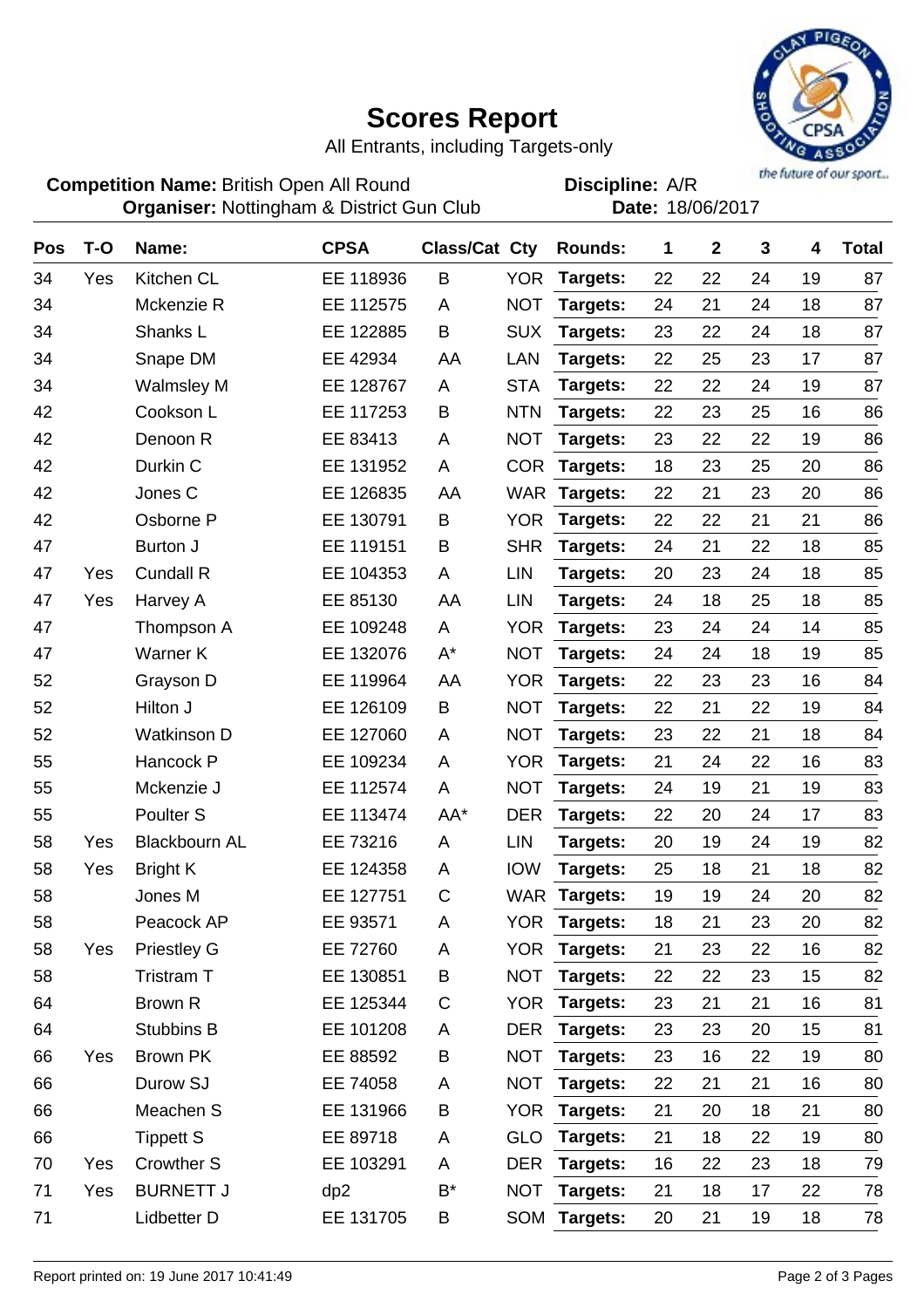## **Scores Report**



All Entrants, including Targets-only

**Competition Name:** British Open All Round **Competition Name:** A/R **Organiser:** Nottingham & District Gun Club **Date: 18/06/2017** 

**Discipline:**

| Pos | $T-O$ | Name:                | <b>CPSA</b> | <b>Class/Cat Cty</b> |            | Rounds:      | 1  | $\mathbf 2$ | $\mathbf{3}$ | 4  | <b>Total</b> |
|-----|-------|----------------------|-------------|----------------------|------------|--------------|----|-------------|--------------|----|--------------|
| 34  | Yes   | Kitchen CL           | EE 118936   | B                    | <b>YOR</b> | Targets:     | 22 | 22          | 24           | 19 | 87           |
| 34  |       | Mckenzie R           | EE 112575   | A                    | <b>NOT</b> | Targets:     | 24 | 21          | 24           | 18 | 87           |
| 34  |       | Shanks L             | EE 122885   | B                    | <b>SUX</b> | Targets:     | 23 | 22          | 24           | 18 | 87           |
| 34  |       | Snape DM             | EE 42934    | AA                   | LAN        | Targets:     | 22 | 25          | 23           | 17 | 87           |
| 34  |       | <b>Walmsley M</b>    | EE 128767   | A                    | <b>STA</b> | Targets:     | 22 | 22          | 24           | 19 | 87           |
| 42  |       | Cookson L            | EE 117253   | B                    | <b>NTN</b> | Targets:     | 22 | 23          | 25           | 16 | 86           |
| 42  |       | Denoon R             | EE 83413    | Α                    | <b>NOT</b> | Targets:     | 23 | 22          | 22           | 19 | 86           |
| 42  |       | Durkin C             | EE 131952   | A                    | <b>COR</b> | Targets:     | 18 | 23          | 25           | 20 | 86           |
| 42  |       | Jones C              | EE 126835   | AA                   | <b>WAR</b> | Targets:     | 22 | 21          | 23           | 20 | 86           |
| 42  |       | Osborne P            | EE 130791   | B                    | <b>YOR</b> | Targets:     | 22 | 22          | 21           | 21 | 86           |
| 47  |       | Burton J             | EE 119151   | Β                    | <b>SHR</b> | Targets:     | 24 | 21          | 22           | 18 | 85           |
| 47  | Yes   | Cundall R            | EE 104353   | A                    | <b>LIN</b> | Targets:     | 20 | 23          | 24           | 18 | 85           |
| 47  | Yes   | Harvey A             | EE 85130    | AA                   | LIN        | Targets:     | 24 | 18          | 25           | 18 | 85           |
| 47  |       | Thompson A           | EE 109248   | A                    | <b>YOR</b> | Targets:     | 23 | 24          | 24           | 14 | 85           |
| 47  |       | Warner K             | EE 132076   | $A^*$                | <b>NOT</b> | Targets:     | 24 | 24          | 18           | 19 | 85           |
| 52  |       | Grayson D            | EE 119964   | AA                   | <b>YOR</b> | Targets:     | 22 | 23          | 23           | 16 | 84           |
| 52  |       | Hilton J             | EE 126109   | B                    | <b>NOT</b> | Targets:     | 22 | 21          | 22           | 19 | 84           |
| 52  |       | <b>Watkinson D</b>   | EE 127060   | A                    | <b>NOT</b> | Targets:     | 23 | 22          | 21           | 18 | 84           |
| 55  |       | Hancock P            | EE 109234   | A                    | <b>YOR</b> | Targets:     | 21 | 24          | 22           | 16 | 83           |
| 55  |       | Mckenzie J           | EE 112574   | A                    | <b>NOT</b> | Targets:     | 24 | 19          | 21           | 19 | 83           |
| 55  |       | Poulter <sub>S</sub> | EE 113474   | AA*                  | <b>DER</b> | Targets:     | 22 | 20          | 24           | 17 | 83           |
| 58  | Yes   | <b>Blackbourn AL</b> | EE 73216    | A                    | LIN        | Targets:     | 20 | 19          | 24           | 19 | 82           |
| 58  | Yes   | <b>Bright K</b>      | EE 124358   | A                    | <b>IOW</b> | Targets:     | 25 | 18          | 21           | 18 | 82           |
| 58  |       | Jones M              | EE 127751   | C                    |            | WAR Targets: | 19 | 19          | 24           | 20 | 82           |
| 58  |       | Peacock AP           | EE 93571    | Α                    | <b>YOR</b> | Targets:     | 18 | 21          | 23           | 20 | 82           |
| 58  | Yes   | <b>Priestley G</b>   | EE 72760    | A                    |            | YOR Targets: | 21 | 23          | 22           | 16 | 82           |
| 58  |       | Tristram T           | EE 130851   | B                    | <b>NOT</b> | Targets:     | 22 | 22          | 23           | 15 | 82           |
| 64  |       | Brown R              | EE 125344   | $\mathsf C$          | <b>YOR</b> | Targets:     | 23 | 21          | 21           | 16 | 81           |
| 64  |       | Stubbins B           | EE 101208   | A                    | <b>DER</b> | Targets:     | 23 | 23          | 20           | 15 | 81           |
| 66  | Yes   | Brown PK             | EE 88592    | B                    | <b>NOT</b> | Targets:     | 23 | 16          | 22           | 19 | 80           |
| 66  |       | Durow SJ             | EE 74058    | Α                    | <b>NOT</b> | Targets:     | 22 | 21          | 21           | 16 | 80           |
| 66  |       | Meachen S            | EE 131966   | B                    | <b>YOR</b> | Targets:     | 21 | 20          | 18           | 21 | 80           |
| 66  |       | <b>Tippett S</b>     | EE 89718    | A                    | <b>GLO</b> | Targets:     | 21 | 18          | 22           | 19 | 80           |
| 70  | Yes   | <b>Crowther S</b>    | EE 103291   | A                    | <b>DER</b> | Targets:     | 16 | 22          | 23           | 18 | 79           |
| 71  | Yes   | <b>BURNETT J</b>     | dp2         | B*                   | <b>NOT</b> | Targets:     | 21 | 18          | 17           | 22 | 78           |
| 71  |       | Lidbetter D          | EE 131705   | В                    |            | SOM Targets: | 20 | 21          | 19           | 18 | 78           |